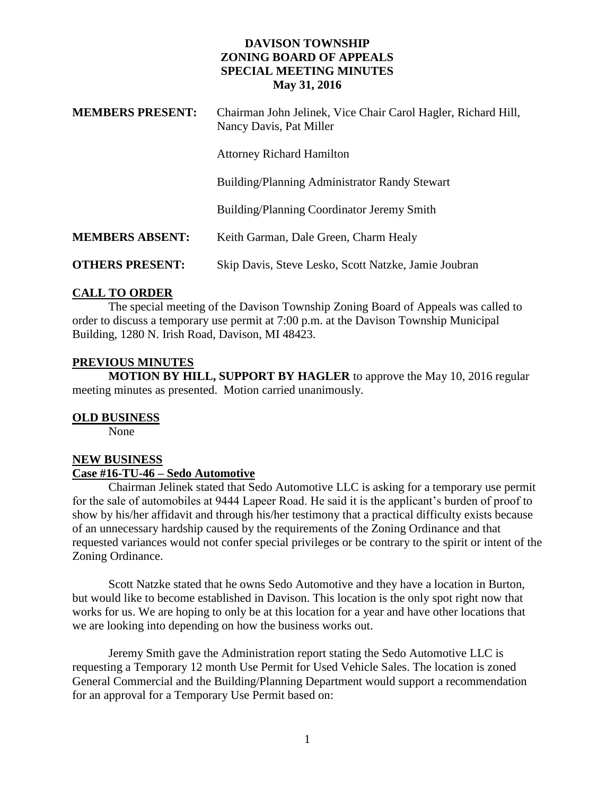### **DAVISON TOWNSHIP ZONING BOARD OF APPEALS SPECIAL MEETING MINUTES May 31, 2016**

| <b>MEMBERS PRESENT:</b> | Chairman John Jelinek, Vice Chair Carol Hagler, Richard Hill,<br>Nancy Davis, Pat Miller |
|-------------------------|------------------------------------------------------------------------------------------|
|                         | <b>Attorney Richard Hamilton</b>                                                         |
|                         | Building/Planning Administrator Randy Stewart                                            |
|                         | Building/Planning Coordinator Jeremy Smith                                               |
| <b>MEMBERS ABSENT:</b>  | Keith Garman, Dale Green, Charm Healy                                                    |
| <b>OTHERS PRESENT:</b>  | Skip Davis, Steve Lesko, Scott Natzke, Jamie Joubran                                     |

### **CALL TO ORDER**

The special meeting of the Davison Township Zoning Board of Appeals was called to order to discuss a temporary use permit at 7:00 p.m. at the Davison Township Municipal Building, 1280 N. Irish Road, Davison, MI 48423.

### **PREVIOUS MINUTES**

**MOTION BY HILL, SUPPORT BY HAGLER** to approve the May 10, 2016 regular meeting minutes as presented. Motion carried unanimously.

### **OLD BUSINESS**

None

# **NEW BUSINESS**

### **Case #16-TU-46 – Sedo Automotive**

Chairman Jelinek stated that Sedo Automotive LLC is asking for a temporary use permit for the sale of automobiles at 9444 Lapeer Road. He said it is the applicant's burden of proof to show by his/her affidavit and through his/her testimony that a practical difficulty exists because of an unnecessary hardship caused by the requirements of the Zoning Ordinance and that requested variances would not confer special privileges or be contrary to the spirit or intent of the Zoning Ordinance.

Scott Natzke stated that he owns Sedo Automotive and they have a location in Burton, but would like to become established in Davison. This location is the only spot right now that works for us. We are hoping to only be at this location for a year and have other locations that we are looking into depending on how the business works out.

Jeremy Smith gave the Administration report stating the Sedo Automotive LLC is requesting a Temporary 12 month Use Permit for Used Vehicle Sales. The location is zoned General Commercial and the Building/Planning Department would support a recommendation for an approval for a Temporary Use Permit based on: